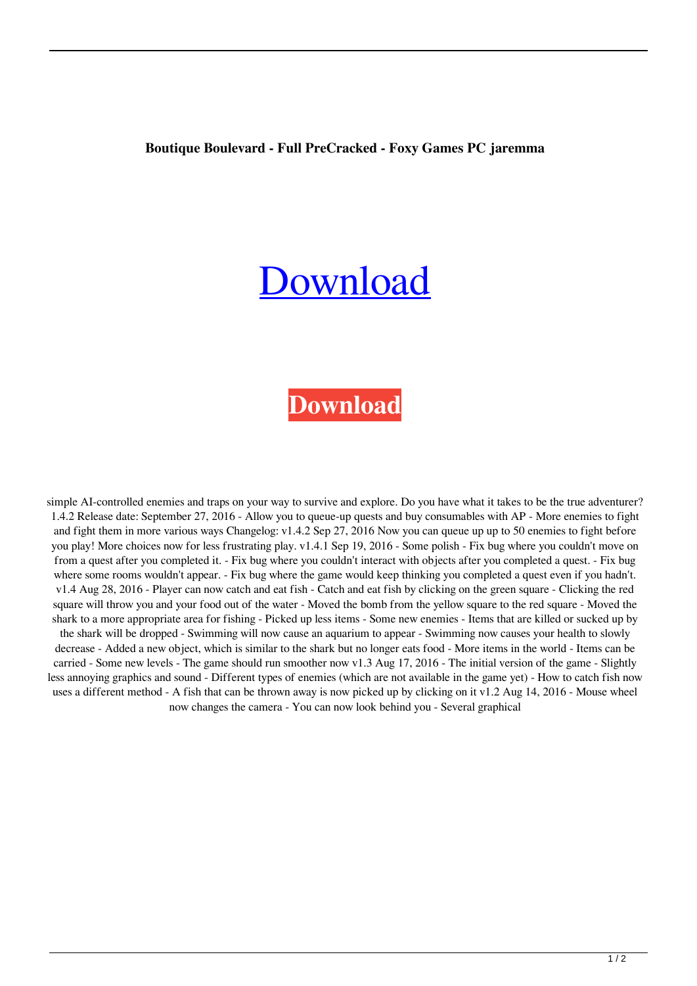## **Boutique Boulevard - Full PreCracked - Foxy Games PC jaremma**

## [Download](http://evacdir.com/ZG93bmxvYWR8d3I3TW01cGFIeDhNVFkxTWpRMk16QTFNSHg4TWpVM05IeDhLRTBwSUhKbFlXUXRZbXh2WnlCYlJtRnpkQ0JIUlU1ZA/chimanimani.Qm91dGlxdWUgQm91bGV2YXJkIC0gRnVsbCBQcmVDcmFja2VkIC0gRm94eSBHYW1lcyBQQwQm9/howie.colourant?idenitfiable)



simple AI-controlled enemies and traps on your way to survive and explore. Do you have what it takes to be the true adventurer? 1.4.2 Release date: September 27, 2016 - Allow you to queue-up quests and buy consumables with AP - More enemies to fight and fight them in more various ways Changelog: v1.4.2 Sep 27, 2016 Now you can queue up up to 50 enemies to fight before you play! More choices now for less frustrating play. v1.4.1 Sep 19, 2016 - Some polish - Fix bug where you couldn't move on from a quest after you completed it. - Fix bug where you couldn't interact with objects after you completed a quest. - Fix bug where some rooms wouldn't appear. - Fix bug where the game would keep thinking you completed a quest even if you hadn't. v1.4 Aug 28, 2016 - Player can now catch and eat fish - Catch and eat fish by clicking on the green square - Clicking the red square will throw you and your food out of the water - Moved the bomb from the yellow square to the red square - Moved the shark to a more appropriate area for fishing - Picked up less items - Some new enemies - Items that are killed or sucked up by the shark will be dropped - Swimming will now cause an aquarium to appear - Swimming now causes your health to slowly decrease - Added a new object, which is similar to the shark but no longer eats food - More items in the world - Items can be carried - Some new levels - The game should run smoother now v1.3 Aug 17, 2016 - The initial version of the game - Slightly less annoying graphics and sound - Different types of enemies (which are not available in the game yet) - How to catch fish now uses a different method - A fish that can be thrown away is now picked up by clicking on it v1.2 Aug 14, 2016 - Mouse wheel now changes the camera - You can now look behind you - Several graphical